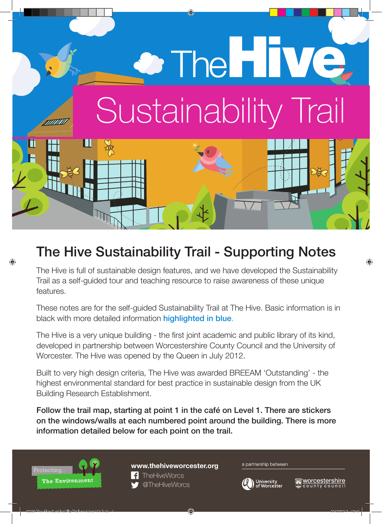# <sup>2</sup> The HIVE Sustainability Trail

## The Hive Sustainability Trail - Supporting Notes

The Hive is full of sustainable design features, and we have developed the Sustainability Trail as a self-guided tour and teaching resource to raise awareness of these unique features.

These notes are for the self-guided Sustainability Trail at The Hive. Basic information is in black with more detailed information **highlighted in blue**.

The Hive is a very unique building - the first joint academic and public library of its kind, developed in partnership between Worcestershire County Council and the University of Worcester. The Hive was opened by the Queen in July 2012.

Built to very high design criteria, The Hive was awarded BREEAM 'Outstanding' - the highest environmental standard for best practice in sustainable design from the UK Building Research Establishment.

Follow the trail map, starting at point 1 in the café on Level 1. There are stickers on the windows/walls at each numbered point around the building. There is more information detailed below for each point on the trail.



#### **www.thehiveworcester.org**



#### a partnership between

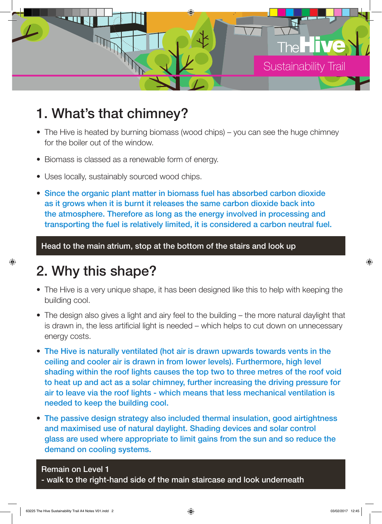

#### 1. What's that chimney?

- The Hive is heated by burning biomass (wood chips) you can see the huge chimney for the boiler out of the window.
- Biomass is classed as a renewable form of energy.
- Uses locally, sustainably sourced wood chips.
- Since the organic plant matter in biomass fuel has absorbed carbon dioxide as it grows when it is burnt it releases the same carbon dioxide back into the atmosphere. Therefore as long as the energy involved in processing and transporting the fuel is relatively limited, it is considered a carbon neutral fuel.

Head to the main atrium, stop at the bottom of the stairs and look up

#### 2. Why this shape?

- The Hive is a very unique shape, it has been designed like this to help with keeping the building cool.
- The design also gives a light and airy feel to the building the more natural daylight that is drawn in, the less artificial light is needed – which helps to cut down on unnecessary energy costs.
- The Hive is naturally ventilated (hot air is drawn upwards towards vents in the ceiling and cooler air is drawn in from lower levels). Furthermore, high level shading within the roof lights causes the top two to three metres of the roof void to heat up and act as a solar chimney, further increasing the driving pressure for air to leave via the roof lights - which means that less mechanical ventilation is needed to keep the building cool.
- The passive design strategy also included thermal insulation, good airtightness and maximised use of natural daylight. Shading devices and solar control glass are used where appropriate to limit gains from the sun and so reduce the demand on cooling systems.

#### Remain on Level 1

- walk to the right-hand side of the main staircase and look underneath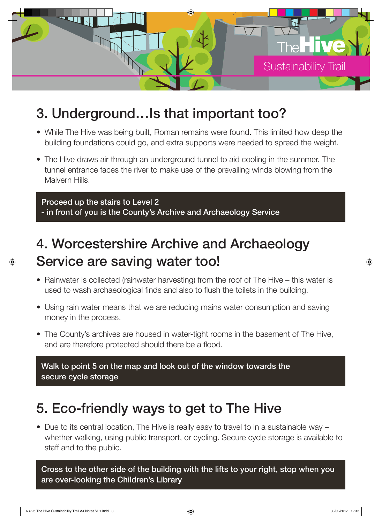

#### 3. Underground…Is that important too?

- While The Hive was being built, Roman remains were found. This limited how deep the building foundations could go, and extra supports were needed to spread the weight.
- The Hive draws air through an underground tunnel to aid cooling in the summer. The tunnel entrance faces the river to make use of the prevailing winds blowing from the Malvern Hills.

Proceed up the stairs to Level 2 - in front of you is the County's Archive and Archaeology Service

## 4. Worcestershire Archive and Archaeology Service are saving water too!

- Rainwater is collected (rainwater harvesting) from the roof of The Hive this water is used to wash archaeological finds and also to flush the toilets in the building.
- Using rain water means that we are reducing mains water consumption and saving money in the process.
- The County's archives are housed in water-tight rooms in the basement of The Hive, and are therefore protected should there be a flood.

Walk to point 5 on the map and look out of the window towards the secure cycle storage

#### 5. Eco-friendly ways to get to The Hive

• Due to its central location, The Hive is really easy to travel to in a sustainable way – whether walking, using public transport, or cycling. Secure cycle storage is available to staff and to the public.

Cross to the other side of the building with the lifts to your right, stop when you are over-looking the Children's Library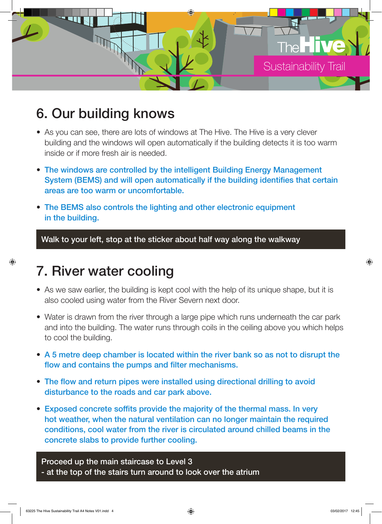

#### 6. Our building knows

- As you can see, there are lots of windows at The Hive. The Hive is a very clever building and the windows will open automatically if the building detects it is too warm inside or if more fresh air is needed.
- The windows are controlled by the intelligent Building Energy Management System (BEMS) and will open automatically if the building identifies that certain areas are too warm or uncomfortable.
- The BEMS also controls the lighting and other electronic equipment in the building.

Walk to your left, stop at the sticker about half way along the walkway

#### 7. River water cooling

- As we saw earlier, the building is kept cool with the help of its unique shape, but it is also cooled using water from the River Severn next door.
- Water is drawn from the river through a large pipe which runs underneath the car park and into the building. The water runs through coils in the ceiling above you which helps to cool the building.
- A 5 metre deep chamber is located within the river bank so as not to disrupt the flow and contains the pumps and filter mechanisms.
- The flow and return pipes were installed using directional drilling to avoid disturbance to the roads and car park above.
- Exposed concrete soffits provide the majority of the thermal mass. In very hot weather, when the natural ventilation can no longer maintain the required conditions, cool water from the river is circulated around chilled beams in the concrete slabs to provide further cooling.

Proceed up the main staircase to Level 3 - at the top of the stairs turn around to look over the atrium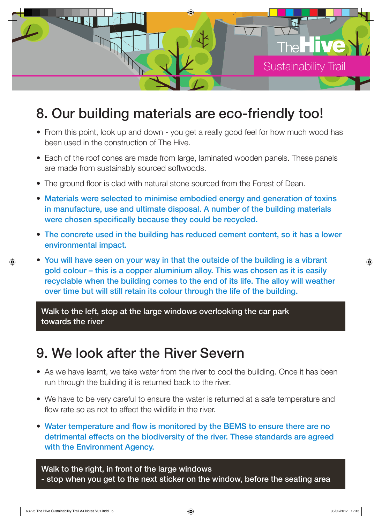

#### 8. Our building materials are eco-friendly too!

- From this point, look up and down you get a really good feel for how much wood has been used in the construction of The Hive.
- Each of the roof cones are made from large, laminated wooden panels. These panels are made from sustainably sourced softwoods.
- The ground floor is clad with natural stone sourced from the Forest of Dean.
- Materials were selected to minimise embodied energy and generation of toxins in manufacture, use and ultimate disposal. A number of the building materials were chosen specifically because they could be recycled.
- The concrete used in the building has reduced cement content, so it has a lower environmental impact.
- You will have seen on your way in that the outside of the building is a vibrant gold colour – this is a copper aluminium alloy. This was chosen as it is easily recyclable when the building comes to the end of its life. The alloy will weather over time but will still retain its colour through the life of the building.

Walk to the left, stop at the large windows overlooking the car park towards the river

#### 9. We look after the River Severn

- As we have learnt, we take water from the river to cool the building. Once it has been run through the building it is returned back to the river.
- We have to be very careful to ensure the water is returned at a safe temperature and flow rate so as not to affect the wildlife in the river.
- Water temperature and flow is monitored by the BEMS to ensure there are no detrimental effects on the biodiversity of the river. These standards are agreed with the Environment Agency.

Walk to the right, in front of the large windows - stop when you get to the next sticker on the window, before the seating area